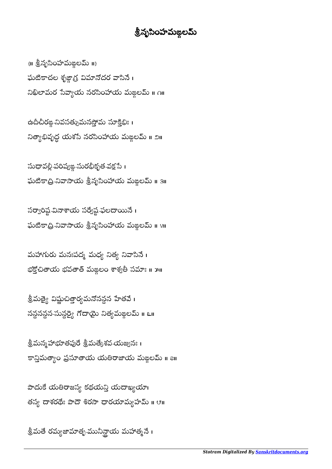## శ్రీనృసింహమఙ్గలమ్

{॥ శ్రీనృసింహమఙ్రలమ్ ॥} ఘటికాచల శృజ్ధాగ్ర విమానోదర వాసినే। నిఖిలామర సేవ్యాయ నరసింహాయ మఙ్గలమ్ ॥ ౧॥

ఉదీచీరఙ్గ నివసత్సుమనస్తోమ సూక్తిభిః । నిత్యాభివృద్ధ యశసె నరసింహాయ మఙ్గలమ్ ။ ౨॥

సుధావల్లీ పరిష్యఙ మరభీకృత వక్షసే। ఘటికాద్రి నివాసాయ శ్రీనృసింహాయ మజ్గలమ్ <mark>။</mark> 3။

సర్వారిష్ట వినాశాయ సర్వేష్ట ఫలదాయినే । ఫుటికాద్రి నివాసాయ శ్రీనృసింహాయ మఙ్గలమ్ ॥ ४॥

మహాగురు మనఃపద్మ మధ్య నిత్య నివాసినే । భక్తోచితాయ భవతాత్ మఙలం శాశ్వతీ సమాః ॥ ౫॥

శ్రీమత్యై విష్ణుచిత్తార్యమనోనన్ధన హేతవే। నన్దనన్న సున్ధర్యై గోదాయై నిత్యమజ్గలమ్ ။ ౬॥

శ్రీమన్మ హాభూతపురే శ్రీమత్కేశవ-యజ్వనః । కాన్తిమత్యాం ప్రసూతాయ యతిరాజాయ మఙలమ్ ॥ all

పాదుకే యతిరాజస్య కథయన్తి యదాఖ్యయా తస్య దాశరథే: పాదౌ శిరసా ధారయామ్యహమ్ ॥ ए॥

శ్రీమతే రమ్యజామాతృ-మునీన్టాయ మహాత్మనే।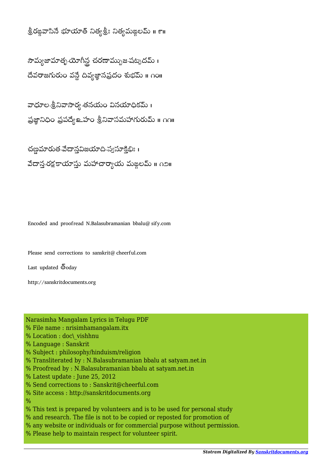## శ్రీరఙ్గవాసినే భూయాత్ నిత్యశ్రీ: నిత్యమఙలమ్ ॥ ౯॥

సౌమ్యజామాత్న-యోగీన్ల చరణామ్నుజ-షట్నదమ్ । దేవరాజగురుం వన్దే దివ్యజ్ఞానప్రదం శుభమ్ ॥ ౧౦॥

వాధూల-శ్రీనివాసార్య-తనయం వినయాధికమ్ । ప్రజ్ఞానిధిం ప్రపథ్యే అవాం శ్రీనివాసమహాగురుమ్ ॥ ౧౧॥

చణ్ణమారుత-వేదాన్తవిజయాది-స్వసూక్తిభిః । వేదాన రక్షకాయాస్తు మహాచార్యాయ మఙలమ్ ॥ ౧౨॥

Encoded and proofread N.Balasubramanian bbalu@sify.com

Please send corrections to sanskrit@cheerful.com

Last updated  $\bar{\mathbb{S}}$ oday

http://sanskritdocuments.org

Narasimha Mangalam Lyrics in Telugu PDF

- % File name : nrisimhamangalam.itx
- % Location : doc\\_vishhnu
- % Language : Sanskrit
- % Subject : philosophy/hinduism/religion
- % Transliterated by : N.Balasubramanian bbalu at satyam.net.in
- % Proofread by : N.Balasubramanian bbalu at satyam.net.in
- % Latest update : June 25, 2012
- % Send corrections to : Sanskrit@cheerful.com
- % Site access : http://sanskritdocuments.org
- $\frac{0}{0}$
- % This text is prepared by volunteers and is to be used for personal study
- % and research. The file is not to be copied or reposted for promotion of
- % any website or individuals or for commercial purpose without permission.
- % Please help to maintain respect for volunteer spirit.